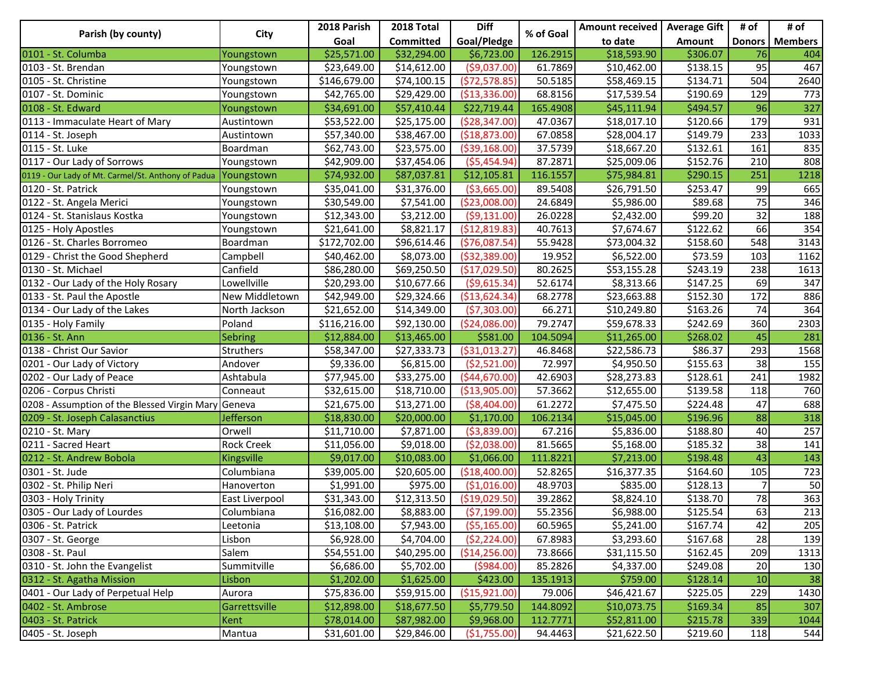| Parish (by county)                                 | City              | 2018 Parish  | 2018 Total  | <b>Diff</b>     | % of Goal | Amount received   Average Gift |          | # of | # of             |
|----------------------------------------------------|-------------------|--------------|-------------|-----------------|-----------|--------------------------------|----------|------|------------------|
|                                                    |                   | Goal         | Committed   | Goal/Pledge     |           | to date                        | Amount   |      | Donors   Members |
| 0101 - St. Columba                                 | Youngstown        | \$25,571.00  | \$32,294.00 | \$6,723.00      | 126.2915  | \$18,593.90                    | \$306.07 | 76   | 404              |
| 0103 - St. Brendan                                 | Youngstown        | \$23,649.00  | \$14,612.00 | ( \$9,037.00)   | 61.7869   | \$10,462.00                    | \$138.15 | 95   | 467              |
| 0105 - St. Christine                               | Youngstown        | \$146,679.00 | \$74,100.15 | (572, 578.85)   | 50.5185   | \$58,469.15                    | \$134.71 | 504  | 2640             |
| 0107 - St. Dominic                                 | Youngstown        | \$42,765.00  | \$29,429.00 | ( \$13, 336.00) | 68.8156   | \$17,539.54                    | \$190.69 | 129  | 773              |
| 0108 - St. Edward                                  | Youngstown        | \$34,691.00  | \$57,410.44 | \$22,719.44     | 165.4908  | \$45,111.94                    | \$494.57 | 96   | 327              |
| 0113 - Immaculate Heart of Mary                    | Austintown        | \$53,522.00  | \$25,175.00 | ( \$28, 347.00) | 47.0367   | \$18,017.10                    | \$120.66 | 179  | 931              |
| 0114 - St. Joseph                                  | Austintown        | \$57,340.00  | \$38,467.00 | ( \$18, 873.00) | 67.0858   | \$28,004.17                    | \$149.79 | 233  | 1033             |
| 0115 - St. Luke                                    | Boardman          | \$62,743.00  | \$23,575.00 | ( \$39, 168.00) | 37.5739   | \$18,667.20                    | \$132.61 | 161  | 835              |
| 0117 - Our Lady of Sorrows                         | Youngstown        | \$42,909.00  | \$37,454.06 | (55, 454.94)    | 87.2871   | \$25,009.06                    | \$152.76 | 210  | 808              |
| 0119 - Our Lady of Mt. Carmel/St. Anthony of Padua | Youngstown        | \$74,932.00  | \$87,037.81 | \$12,105.81     | 116.1557  | \$75,984.81                    | \$290.15 | 251  | 1218             |
| $\overline{01}$ 20 - St. Patrick                   | Youngstown        | \$35,041.00  | \$31,376.00 | ( \$3,665.00)   | 89.5408   | \$26,791.50                    | \$253.47 | 99   | 665              |
| 0122 - St. Angela Merici                           | Youngstown        | \$30,549.00  | \$7,541.00  | ( \$23,008.00)  | 24.6849   | \$5,986.00                     | \$89.68  | 75   | 346              |
| 0124 - St. Stanislaus Kostka                       | Youngstown        | \$12,343.00  | \$3,212.00  | (59, 131.00)    | 26.0228   | \$2,432.00                     | \$99.20  | 32   | 188              |
| 0125 - Holy Apostles                               | Youngstown        | \$21,641.00  | \$8,821.17  | (\$12,819.83)   | 40.7613   | \$7,674.67                     | \$122.62 | 66   | 354              |
| 0126 - St. Charles Borromeo                        | Boardman          | \$172,702.00 | \$96,614.46 | (576,087.54)    | 55.9428   | \$73,004.32                    | \$158.60 | 548  | 3143             |
| 0129 - Christ the Good Shepherd                    | Campbell          | \$40,462.00  | \$8,073.00  | ( \$32, 389.00) | 19.952    | \$6,522.00                     | \$73.59  | 103  | 1162             |
| 0130 - St. Michael                                 | Canfield          | \$86,280.00  | \$69,250.50 | (\$17,029.50)   | 80.2625   | \$53,155.28                    | \$243.19 | 238  | 1613             |
| 0132 - Our Lady of the Holy Rosary                 | Lowellville       | \$20,293.00  | \$10,677.66 | ( \$9,615.34)   | 52.6174   | \$8,313.66                     | \$147.25 | 69   | 347              |
| 0133 - St. Paul the Apostle                        | New Middletown    | \$42,949.00  | \$29,324.66 | ( \$13,624.34)  | 68.2778   | \$23,663.88                    | \$152.30 | 172  | 886              |
| 0134 - Our Lady of the Lakes                       | North Jackson     | \$21,652.00  | \$14,349.00 | (57,303.00)     | 66.271    | \$10,249.80                    | \$163.26 | 74   | 364              |
| 0135 - Holy Family                                 | Poland            | \$116,216.00 | \$92,130.00 | ( \$24,086.00)  | 79.2747   | \$59,678.33                    | \$242.69 | 360  | 2303             |
| 0136 - St. Ann                                     | <b>Sebring</b>    | \$12,884.00  | \$13,465.00 | \$581.00        | 104.5094  | \$11,265.00                    | \$268.02 | 45   | 281              |
| 0138 - Christ Our Savior                           | Struthers         | \$58,347.00  | \$27,333.73 | ( \$31,013.27)  | 46.8468   | \$22,586.73                    | \$86.37  | 293  | 1568             |
| 0201 - Our Lady of Victory                         | Andover           | \$9,336.00   | \$6,815.00  | ( \$2,521.00)   | 72.997    | \$4,950.50                     | \$155.63 | 38   | 155              |
| 0202 - Our Lady of Peace                           | Ashtabula         | \$77,945.00  | \$33,275.00 | ( \$44, 670.00] | 42.6903   | \$28,273.83                    | \$128.61 | 241  | 1982             |
| 0206 - Corpus Christi                              | Conneaut          | \$32,615.00  | \$18,710.00 | ( \$13,905.00)  | 57.3662   | \$12,655.00                    | \$139.58 | 118  | 760              |
| 0208 - Assumption of the Blessed Virgin Mary       | Geneva            | \$21,675.00  | \$13,271.00 | ( \$8,404.00)   | 61.2272   | \$7,475.50                     | \$224.48 | 47   | 688              |
| 0209 - St. Joseph Calasanctius                     | <b>Jefferson</b>  | \$18,830.00  | \$20,000.00 | \$1,170.00      | 106.2134  | \$15,045.00                    | \$196.96 | 88   | 318              |
| 0210 - St. Mary                                    | Orwell            | \$11,710.00  | \$7,871.00  | (\$3,839.00)    | 67.216    | \$5,836.00                     | \$188.80 | 40   | 257              |
| 0211 - Sacred Heart                                | <b>Rock Creek</b> | \$11,056.00  | \$9,018.00  | ( \$2,038.00)   | 81.5665   | \$5,168.00                     | \$185.32 | 38   | 141              |
| 0212 - St. Andrew Bobola                           | Kingsville        | \$9,017.00   | \$10,083.00 | \$1,066.00      | 111.8221  | \$7,213.00                     | \$198.48 | 43   | 143              |
| 0301 - St. Jude                                    | Columbiana        | \$39,005.00  | \$20,605.00 | ( \$18,400.00]  | 52.8265   | \$16,377.35                    | \$164.60 | 105  | 723              |
| 0302 - St. Philip Neri                             | Hanoverton        | \$1,991.00   | \$975.00    | (\$1,016.00)    | 48.9703   | \$835.00                       | \$128.13 |      | 50               |
| 0303 - Holy Trinity                                | East Liverpool    | \$31,343.00  | \$12,313.50 | ( \$19,029.50)  | 39.2862   | \$8,824.10                     | \$138.70 | 78   | 363              |
| 0305 - Our Lady of Lourdes                         | Columbiana        | \$16,082.00  | \$8,883.00  | (57, 199.00)    | 55.2356   | \$6,988.00                     | \$125.54 | 63   | 213              |
| 0306 - St. Patrick                                 | Leetonia          | \$13,108.00  | \$7,943.00  | ( \$5,165.00)   | 60.5965   | \$5,241.00                     | \$167.74 | 42   | 205              |
| 0307 - St. George                                  | Lisbon            | \$6,928.00   | \$4,704.00  | ( \$2, 224.00)  | 67.8983   | \$3,293.60                     | \$167.68 | 28   | 139              |
| 0308 - St. Paul                                    | Salem             | \$54,551.00  | \$40,295.00 | ( \$14, 256.00) | 73.8666   | \$31,115.50                    | \$162.45 | 209  | 1313             |
| 0310 - St. John the Evangelist                     | Summitville       | \$6,686.00   | \$5,702.00  | (5984.00)       | 85.2826   | \$4,337.00                     | \$249.08 | 20   | 130              |
| 0312 - St. Agatha Mission                          | Lisbon            | \$1,202.00   | \$1,625.00  | \$423.00        | 135.1913  | \$759.00                       | \$128.14 | 10   | 38               |
| 0401 - Our Lady of Perpetual Help                  | Aurora            | \$75,836.00  | \$59,915.00 | ( \$15, 921.00) | 79.006    | \$46,421.67                    | \$225.05 | 229  | 1430             |
| 0402 - St. Ambrose                                 | Garrettsville     | \$12,898.00  | \$18,677.50 | \$5,779.50      | 144.8092  | \$10,073.75                    | \$169.34 | 85   | 307              |
| 0403 - St. Patrick                                 | Kent              | \$78,014.00  | \$87,982.00 | \$9,968.00      | 112.7771  | \$52,811.00                    | \$215.78 | 339  | 1044             |
| 0405 - St. Joseph                                  | Mantua            | \$31,601.00  | \$29,846.00 | (\$1,755.00)    | 94.4463   | \$21,622.50                    | \$219.60 | 118  | 544              |